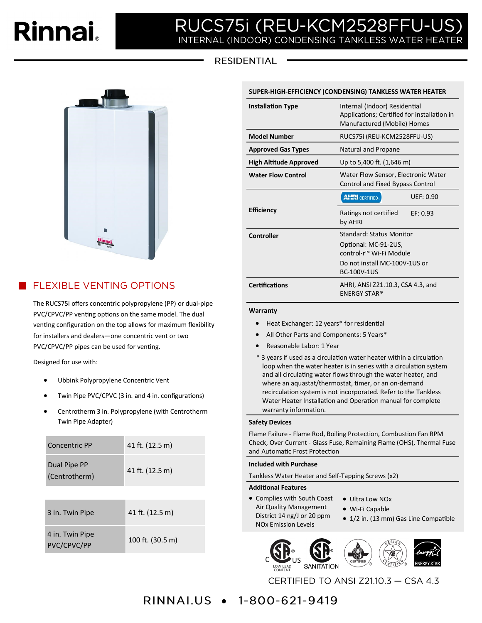# Rinnai.

### JCS75i (REU-KCM2528FFU-l R INTERNAL (INDOOR) CONDENSING TANKLESS WATER HEATER

# **RESIDENTIAL**



# **FLEXIBLE VENTING OPTIONS**

The RUCS75i offers concentric polypropylene (PP) or dual-pipe PVC/CPVC/PP venting options on the same model. The dual venting configuration on the top allows for maximum flexibility for installers and dealers—one concentric vent or two PVC/CPVC/PP pipes can be used for venting.

Designed for use with:

- Ubbink Polypropylene Concentric Vent
- Twin Pipe PVC/CPVC (3 in. and 4 in. configurations)
- Centrotherm 3 in. Polypropylene (with Centrotherm Twin Pipe Adapter)

| Concentric PP                  | 41 ft. (12.5 m)  |  |  |
|--------------------------------|------------------|--|--|
| Dual Pipe PP<br>(Centrotherm)  | 41 ft. (12.5 m)  |  |  |
|                                |                  |  |  |
| 3 in. Twin Pipe                | 41 ft. (12.5 m)  |  |  |
| 4 in. Twin Pipe<br>PVC/CPVC/PP | 100 ft. (30.5 m) |  |  |

| <b>Installation Type</b>      | Internal (Indoor) Residential<br>Applications; Certified for installation in<br>Manufactured (Mobile) Homes |  |  |
|-------------------------------|-------------------------------------------------------------------------------------------------------------|--|--|
| <b>Model Number</b>           | RUCS75i (REU-KCM2528FFU-US)                                                                                 |  |  |
| <b>Approved Gas Types</b>     | Natural and Propane                                                                                         |  |  |
| <b>High Altitude Approved</b> | Up to 5,400 ft. (1,646 m)                                                                                   |  |  |
| <b>Water Flow Control</b>     | Water Flow Sensor, Electronic Water<br>Control and Fixed Bypass Control                                     |  |  |
|                               | <b>AHRI</b> CERTIFIED.<br><b>UEF: 0.90</b>                                                                  |  |  |
| <b>Efficiency</b>             | Ratings not certified<br>EF: 0.93<br>by AHRI                                                                |  |  |
| Controller                    | <b>Standard: Status Monitor</b>                                                                             |  |  |
|                               | Optional: MC-91-2US,<br>control·r <sup>™</sup> Wi-Fi Module                                                 |  |  |
|                               | Do not install MC-100V-1US or<br><b>BC-100V-1US</b>                                                         |  |  |
| <b>Certifications</b>         | AHRI, ANSI Z21.10.3, CSA 4.3, and<br><b>ENERGY STAR®</b>                                                    |  |  |

**SUPER-HIGH-EFFICIENCY (CONDENSING) TANKLESS WATER HEATER** 

#### **Warranty**

- Heat Exchanger: 12 years\* for residential
- All Other Parts and Components: 5 Years\*
- Reasonable Labor: 1 Year
- \* 3 years if used as a circulation water heater within a circulation loop when the water heater is in series with a circulation system and all circulating water flows through the water heater, and where an aquastat/thermostat, timer, or an on-demand recirculation system is not incorporated. Refer to the Tankless Water Heater Installation and Operation manual for complete warranty information.

#### **Safety Devices**

Flame Failure - Flame Rod, Boiling Protection, Combustion Fan RPM Check, Over Current - Glass Fuse, Remaining Flame (OHS), Thermal Fuse and Automatic Frost Protection

#### **Included with Purchase**

Tankless Water Heater and Self-Tapping Screws (x2)

#### **Additional Features**

- Complies with South Coast Air Quality Management District 14 ng/J or 20 ppm NOx Emission Levels
- Ultra Low NOx
	- Wi-Fi Capable
	- 1/2 in. (13 mm) Gas Line Compatible







CERTIFIED TO ANSI Z21.10.3 - CSA 4.3

# RINNAI.US • 1-800-621-9419